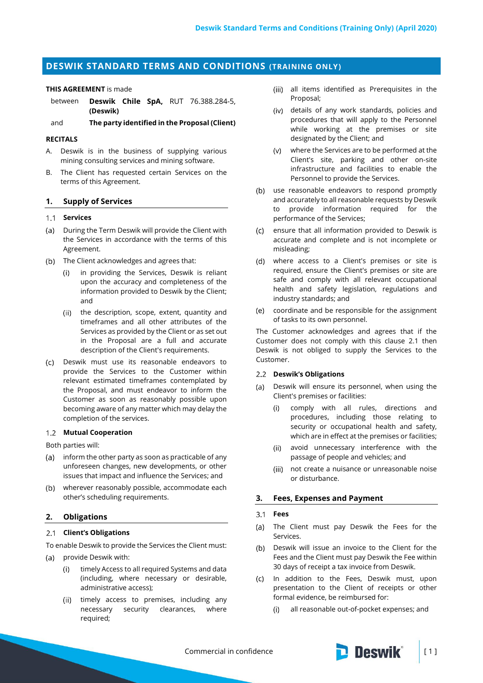# **DESWIK STANDARD TERMS AND CONDITIONS (TRAINING ONLY)**

#### **THIS AGREEMENT** is made

between **Deswik Chile SpA,** RUT 76.388.284-5, **(Deswik)**

and **The party identified in the Proposal (Client)**

#### **RECITALS**

- A. Deswik is in the business of supplying various mining consulting services and mining software.
- B. The Client has requested certain Services on the terms of this Agreement.

#### **1. Supply of Services**

## **Services**

- (a) During the Term Deswik will provide the Client with the Services in accordance with the terms of this Agreement.
- (b) The Client acknowledges and agrees that:
	- in providing the Services, Deswik is reliant  $(i)$ upon the accuracy and completeness of the information provided to Deswik by the Client; and
	- (ii) the description, scope, extent, quantity and timeframes and all other attributes of the Services as provided by the Client or as set out in the Proposal are a full and accurate description of the Client's requirements.
- Deswik must use its reasonable endeavors to provide the Services to the Customer within relevant estimated timeframes contemplated by the Proposal, and must endeavor to inform the Customer as soon as reasonably possible upon becoming aware of any matter which may delay the completion of the services.

### **Mutual Cooperation**

Both parties will:

- (a) inform the other party as soon as practicable of any unforeseen changes, new developments, or other issues that impact and influence the Services; and
- wherever reasonably possible, accommodate each other's scheduling requirements.

#### **2. Obligations**

## <span id="page-0-0"></span>**Client's Obligations**

To enable Deswik to provide the Services the Client must:

- $(a)$ provide Deswik with:
	- timely Access to all required Systems and data (including, where necessary or desirable, administrative access);
	- (ii) timely access to premises, including any necessary security clearances, where required;
- all items identified as Prerequisites in the Proposal;
- details of any work standards, policies and procedures that will apply to the Personnel while working at the premises or site designated by the Client; and
- where the Services are to be performed at the Client's site, parking and other on-site infrastructure and facilities to enable the Personnel to provide the Services.
- (b) use reasonable endeavors to respond promptly and accurately to all reasonable requests by Deswik to provide information required for the performance of the Services;
- ensure that all information provided to Deswik is  $(c)$ accurate and complete and is not incomplete or misleading;
- where access to a Client's premises or site is required, ensure the Client's premises or site are safe and comply with all relevant occupational health and safety legislation, regulations and industry standards; and
- coordinate and be responsible for the assignment  $(e)$ of tasks to its own personnel.

The Customer acknowledges and agrees that if the Customer does not comply with this clause [2.1](#page-0-0) then Deswik is not obliged to supply the Services to the Customer.

### **Deswik's Obligations**

- Deswik will ensure its personnel, when using the  $(a)$ Client's premises or facilities:
	- comply with all rules, directions and  $(i)$ procedures, including those relating to security or occupational health and safety, which are in effect at the premises or facilities;
	- (ii) avoid unnecessary interference with the passage of people and vehicles; and
	- (iii) not create a nuisance or unreasonable noise or disturbance.

### **3. Fees, Expenses and Payment**

#### $3.1$ **Fees**

- The Client must pay Deswik the Fees for the  $(a)$ Services.
- (b) Deswik will issue an invoice to the Client for the Fees and the Client must pay Deswik the Fee within 30 days of receipt a tax invoice from Deswik.
- In addition to the Fees, Deswik must, upon presentation to the Client of receipts or other formal evidence, be reimbursed for:
	- $(i)$ all reasonable out-of-pocket expenses; and

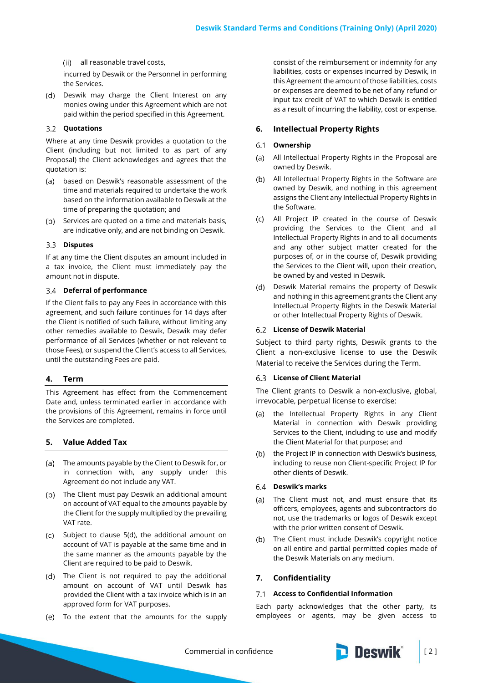all reasonable travel costs,

incurred by Deswik or the Personnel in performing the Services.

(d) Deswik may charge the Client Interest on any monies owing under this Agreement which are not paid within the period specified in this Agreement.

## **Quotations**

Where at any time Deswik provides a quotation to the Client (including but not limited to as part of any Proposal) the Client acknowledges and agrees that the quotation is:

- $(a)$ based on Deswik's reasonable assessment of the time and materials required to undertake the work based on the information available to Deswik at the time of preparing the quotation; and
- (b) Services are quoted on a time and materials basis, are indicative only, and are not binding on Deswik.

## **Disputes**

If at any time the Client disputes an amount included in a tax invoice, the Client must immediately pay the amount not in dispute.

#### **Deferral of performance**

If the Client fails to pay any Fees in accordance with this agreement, and such failure continues for 14 days after the Client is notified of such failure, without limiting any other remedies available to Deswik, Deswik may defer performance of all Services (whether or not relevant to those Fees), or suspend the Client's access to all Services, until the outstanding Fees are paid.

#### **4. Term**

This Agreement has effect from the Commencement Date and, unless terminated earlier in accordance with the provisions of this Agreement, remains in force until the Services are completed.

## **5. Value Added Tax**

- The amounts payable by the Client to Deswik for, or in connection with, any supply under this Agreement do not include any VAT.
- (b) The Client must pay Deswik an additional amount on account of VAT equal to the amounts payable by the Client for the supply multiplied by the prevailing VAT rate.
- (c) Subject to clause 5(d), the additional amount on account of VAT is payable at the same time and in the same manner as the amounts payable by the Client are required to be paid to Deswik.
- The Client is not required to pay the additional amount on account of VAT until Deswik has provided the Client with a tax invoice which is in an approved form for VAT purposes.
- (e) To the extent that the amounts for the supply

consist of the reimbursement or indemnity for any liabilities, costs or expenses incurred by Deswik, in this Agreement the amount of those liabilities, costs or expenses are deemed to be net of any refund or input tax credit of VAT to which Deswik is entitled as a result of incurring the liability, cost or expense.

#### **6. Intellectual Property Rights**

#### **Ownership**  $6.1$

- All Intellectual Property Rights in the Proposal are  $(a)$ owned by Deswik.
- All Intellectual Property Rights in the Software are owned by Deswik, and nothing in this agreement assigns the Client any Intellectual Property Rights in the Software.
- All Project IP created in the course of Deswik providing the Services to the Client and all Intellectual Property Rights in and to all documents and any other subject matter created for the purposes of, or in the course of, Deswik providing the Services to the Client will, upon their creation, be owned by and vested in Deswik.
- (d) Deswik Material remains the property of Deswik and nothing in this agreement grants the Client any Intellectual Property Rights in the Deswik Material or other Intellectual Property Rights of Deswik.

#### **License of Deswik Material**

Subject to third party rights, Deswik grants to the Client a non-exclusive license to use the Deswik Material to receive the Services during the Term.

### **License of Client Material**

The Client grants to Deswik a non-exclusive, global, irrevocable, perpetual license to exercise:

- the Intellectual Property Rights in any Client  $(a)$ Material in connection with Deswik providing Services to the Client, including to use and modify the Client Material for that purpose; and
- the Project IP in connection with Deswik's business,  $(b)$ including to reuse non Client-specific Project IP for other clients of Deswik.

## **Deswik's marks**

- (a) The Client must not, and must ensure that its officers, employees, agents and subcontractors do not, use the trademarks or logos of Deswik except with the prior written consent of Deswik.
- $(h)$ The Client must include Deswik's copyright notice on all entire and partial permitted copies made of the Deswik Materials on any medium.

### <span id="page-1-0"></span>**7. Confidentiality**

#### **Access to Confidential Information**

Each party acknowledges that the other party, its employees or agents, may be given access to

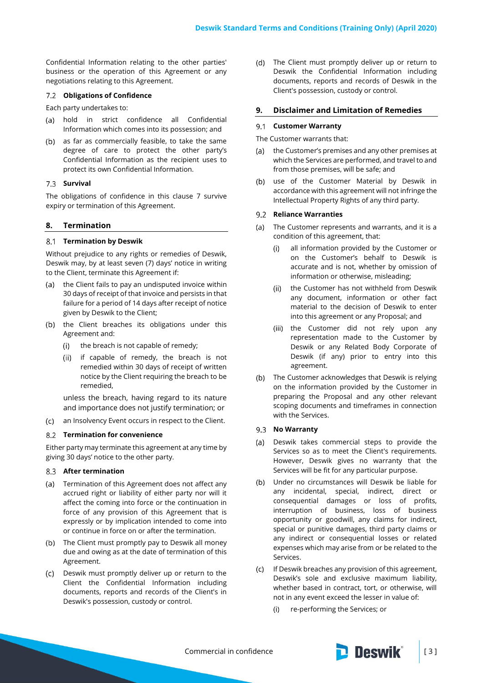Confidential Information relating to the other parties' business or the operation of this Agreement or any negotiations relating to this Agreement.

#### **Obligations of Confidence**

Each party undertakes to:

- (a) hold in strict confidence all Confidential Information which comes into its possession; and
- (b) as far as commercially feasible, to take the same degree of care to protect the other party's Confidential Information as the recipient uses to protect its own Confidential Information.

## 7.3 **Survival**

The obligations of confidence in this clause [7](#page-1-0) survive expiry or termination of this Agreement.

## **8. Termination**

#### **Termination by Deswik**

Without prejudice to any rights or remedies of Deswik, Deswik may, by at least seven (7) days' notice in writing to the Client, terminate this Agreement if:

- (a) the Client fails to pay an undisputed invoice within 30 days of receipt of that invoice and persists in that failure for a period of 14 days after receipt of notice given by Deswik to the Client;
- (b) the Client breaches its obligations under this Agreement and:
	- the breach is not capable of remedy;  $(i)$
	- $(ii)$ if capable of remedy, the breach is not remedied within 30 days of receipt of written notice by the Client requiring the breach to be remedied,

unless the breach, having regard to its nature and importance does not justify termination; or

 $(C)$ an Insolvency Event occurs in respect to the Client.

#### **Termination for convenience**

Either party may terminate this agreement at any time by giving 30 days' notice to the other party.

#### **After termination**

- (a) Termination of this Agreement does not affect any accrued right or liability of either party nor will it affect the coming into force or the continuation in force of any provision of this Agreement that is expressly or by implication intended to come into or continue in force on or after the termination.
- (b) The Client must promptly pay to Deswik all money due and owing as at the date of termination of this Agreement.
- Deswik must promptly deliver up or return to the  $(c)$ Client the Confidential Information including documents, reports and records of the Client's in Deswik's possession, custody or control.

The Client must promptly deliver up or return to (d) Deswik the Confidential Information including documents, reports and records of Deswik in the Client's possession, custody or control.

## **9. Disclaimer and Limitation of Remedies**

## **Customer Warranty**

#### The Customer warrants that:

- the Customer's premises and any other premises at  $(A)$ which the Services are performed, and travel to and from those premises, will be safe; and
- use of the Customer Material by Deswik in  $(b)$ accordance with this agreement will not infringe the Intellectual Property Rights of any third party.

## **Reliance Warranties**

- $(a)$ The Customer represents and warrants, and it is a condition of this agreement, that:
	- all information provided by the Customer or  $(i)$ on the Customer's behalf to Deswik is accurate and is not, whether by omission of information or otherwise, misleading;
	- (ii) the Customer has not withheld from Deswik any document, information or other fact material to the decision of Deswik to enter into this agreement or any Proposal; and
	- (iii) the Customer did not rely upon any representation made to the Customer by Deswik or any Related Body Corporate of Deswik (if any) prior to entry into this agreement.
- (b) The Customer acknowledges that Deswik is relying on the information provided by the Customer in preparing the Proposal and any other relevant scoping documents and timeframes in connection with the Services.

#### 9.3 **No Warranty**

- Deswik takes commercial steps to provide the  $(a)$ Services so as to meet the Client's requirements. However, Deswik gives no warranty that the Services will be fit for any particular purpose.
- Under no circumstances will Deswik be liable for  $(b)$ any incidental, special, indirect, direct or consequential damages or loss of profits, interruption of business, loss of business opportunity or goodwill, any claims for indirect, special or punitive damages, third party claims or any indirect or consequential losses or related expenses which may arise from or be related to the Services.
- $(C)$  If Deswik breaches any provision of this agreement, Deswik's sole and exclusive maximum liability, whether based in contract, tort, or otherwise, will not in any event exceed the lesser in value of:
	- $(i)$ re-performing the Services; or

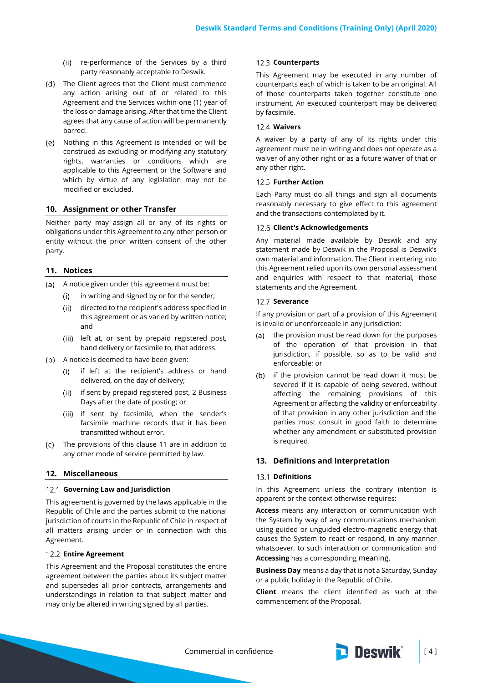- (ii) re-performance of the Services by a third party reasonably acceptable to Deswik.
- (d) The Client agrees that the Client must commence any action arising out of or related to this Agreement and the Services within one (1) year of the loss or damage arising. After that time the Client agrees that any cause of action will be permanently barred.
- Nothing in this Agreement is intended or will be construed as excluding or modifying any statutory rights, warranties or conditions which are applicable to this Agreement or the Software and which by virtue of any legislation may not be modified or excluded.

## **10. Assignment or other Transfer**

Neither party may assign all or any of its rights or obligations under this Agreement to any other person or entity without the prior written consent of the other party.

### <span id="page-3-0"></span>**11. Notices**

- A notice given under this agreement must be:
	- in writing and signed by or for the sender;  $(i)$
	- directed to the recipient's address specified in  $(ii)$ this agreement or as varied by written notice; and
	- (iii) left at, or sent by prepaid registered post, hand delivery or facsimile to, that address.
- (b) A notice is deemed to have been given:
	- if left at the recipient's address or hand  $(i)$ delivered, on the day of delivery;
	- if sent by prepaid registered post, 2 Business  $(ii)$ Days after the date of posting; or
	- (iii) if sent by facsimile, when the sender's facsimile machine records that it has been transmitted without error.
- The provisions of this clause [11](#page-3-0) are in addition to  $(C)$ any other mode of service permitted by law.

## **12. Miscellaneous**

#### **Governing Law and Jurisdiction**

This agreement is governed by the laws applicable in the Republic of Chile and the parties submit to the national jurisdiction of courts in the Republic of Chile in respect of all matters arising under or in connection with this Agreement.

### **Entire Agreement**

This Agreement and the Proposal constitutes the entire agreement between the parties about its subject matter and supersedes all prior contracts, arrangements and understandings in relation to that subject matter and may only be altered in writing signed by all parties.

#### 12.3 **Counterparts**

This Agreement may be executed in any number of counterparts each of which is taken to be an original. All of those counterparts taken together constitute one instrument. An executed counterpart may be delivered by facsimile.

#### **Waivers**

A waiver by a party of any of its rights under this agreement must be in writing and does not operate as a waiver of any other right or as a future waiver of that or any other right.

#### **12.5 Further Action**

Each Party must do all things and sign all documents reasonably necessary to give effect to this agreement and the transactions contemplated by it.

## **Client's Acknowledgements**

Any material made available by Deswik and any statement made by Deswik in the Proposal is Deswik's own material and information. The Client in entering into this Agreement relied upon its own personal assessment and enquiries with respect to that material, those statements and the Agreement.

### 12.7 Severance

If any provision or part of a provision of this Agreement is invalid or unenforceable in any jurisdiction:

- the provision must be read down for the purposes  $(a)$ of the operation of that provision in that jurisdiction, if possible, so as to be valid and enforceable; or
- (b) if the provision cannot be read down it must be severed if it is capable of being severed, without affecting the remaining provisions of this Agreement or affecting the validity or enforceability of that provision in any other jurisdiction and the parties must consult in good faith to determine whether any amendment or substituted provision is required.

#### **13. Definitions and Interpretation**

#### 13.1 **Definitions**

In this Agreement unless the contrary intention is apparent or the context otherwise requires:

**Access** means any interaction or communication with the System by way of any communications mechanism using guided or unguided electro-magnetic energy that causes the System to react or respond, in any manner whatsoever, to such interaction or communication and **Accessing** has a corresponding meaning.

**Business Day** means a day that is not a Saturday, Sunday or a public holiday in the Republic of Chile.

**Client** means the client identified as such at the commencement of the Proposal.

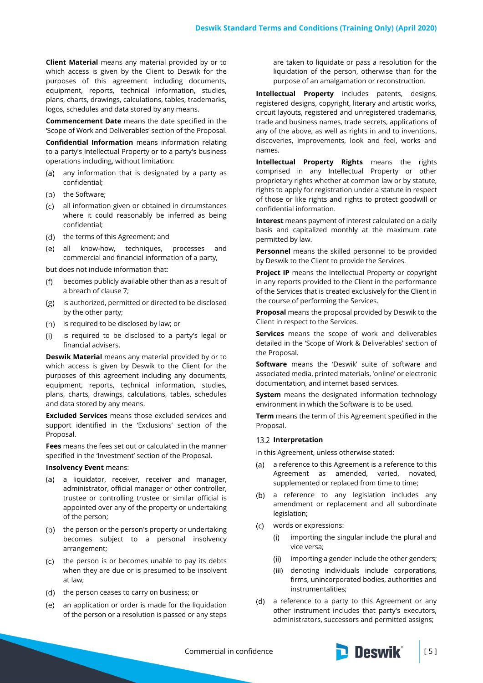**Client Material** means any material provided by or to which access is given by the Client to Deswik for the purposes of this agreement including documents, equipment, reports, technical information, studies, plans, charts, drawings, calculations, tables, trademarks, logos, schedules and data stored by any means.

**Commencement Date** means the date specified in the 'Scope of Work and Deliverables' section of the Proposal.

**Confidential Information** means information relating to a party's Intellectual Property or to a party's business operations including, without limitation:

- (a) any information that is designated by a party as confidential;
- (b) the Software;
- (c) = all information given or obtained in circumstances where it could reasonably be inferred as being confidential;
- (d) the terms of this Agreement; and
- all know-how, techniques, processes and commercial and financial information of a party,

but does not include information that:

- becomes publicly available other than as a result of  $(f)$ a breach of clause [7;](#page-1-0)
- $(g)$ is authorized, permitted or directed to be disclosed by the other party;
- (h) is required to be disclosed by law; or
- is required to be disclosed to a party's legal or  $(i)$ financial advisers.

**Deswik Material** means any material provided by or to which access is given by Deswik to the Client for the purposes of this agreement including any documents, equipment, reports, technical information, studies, plans, charts, drawings, calculations, tables, schedules and data stored by any means.

**Excluded Services** means those excluded services and support identified in the 'Exclusions' section of the Proposal.

**Fees** means the fees set out or calculated in the manner specified in the 'Investment' section of the Proposal.

#### **Insolvency Event** means:

- (a) a liquidator, receiver, receiver and manager, administrator, official manager or other controller, trustee or controlling trustee or similar official is appointed over any of the property or undertaking of the person;
- (b) the person or the person's property or undertaking becomes subject to a personal insolvency arrangement;
- (c) the person is or becomes unable to pay its debts when they are due or is presumed to be insolvent at law;
- (d) the person ceases to carry on business; or
- an application or order is made for the liquidation  $(e)$ of the person or a resolution is passed or any steps

are taken to liquidate or pass a resolution for the liquidation of the person, otherwise than for the purpose of an amalgamation or reconstruction.

**Intellectual Property** includes patents, designs, registered designs, copyright, literary and artistic works, circuit layouts, registered and unregistered trademarks, trade and business names, trade secrets, applications of any of the above, as well as rights in and to inventions, discoveries, improvements, look and feel, works and names.

**Intellectual Property Rights** means the rights comprised in any Intellectual Property or other proprietary rights whether at common law or by statute, rights to apply for registration under a statute in respect of those or like rights and rights to protect goodwill or confidential information.

**Interest** means payment of interest calculated on a daily basis and capitalized monthly at the maximum rate permitted by law.

**Personnel** means the skilled personnel to be provided by Deswik to the Client to provide the Services.

**Project IP** means the Intellectual Property or copyright in any reports provided to the Client in the performance of the Services that is created exclusively for the Client in the course of performing the Services.

**Proposal** means the proposal provided by Deswik to the Client in respect to the Services.

**Services** means the scope of work and deliverables detailed in the 'Scope of Work & Deliverables' section of the Proposal.

**Software** means the 'Deswik' suite of software and associated media, printed materials, 'online' or electronic documentation, and internet based services.

**System** means the designated information technology environment in which the Software is to be used.

**Term** means the term of this Agreement specified in the Proposal.

#### 13.2 Interpretation

In this Agreement, unless otherwise stated:

- a reference to this Agreement is a reference to this  $(a)$ Agreement as amended, varied, novated, supplemented or replaced from time to time;
- (b) a reference to any legislation includes any amendment or replacement and all subordinate legislation;
- $(C)$ words or expressions:
	- importing the singular include the plural and  $(i)$ vice versa;
	- (ii) importing a gender include the other genders;
	- denoting individuals include corporations, firms, unincorporated bodies, authorities and instrumentalities;
- (d) a reference to a party to this Agreement or any other instrument includes that party's executors, administrators, successors and permitted assigns;